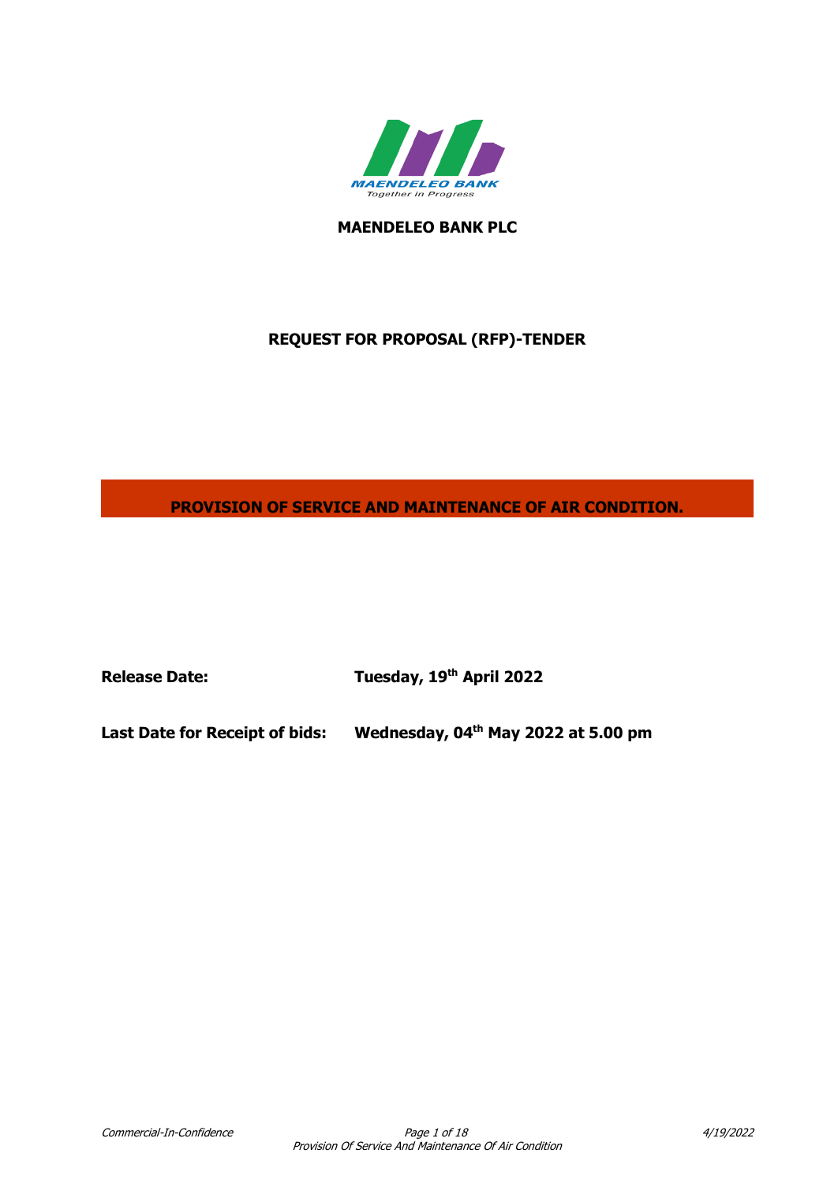

**MAENDELEO BANK PLC**

# **REQUEST FOR PROPOSAL (RFP)-TENDER**

**PROVISION OF SERVICE AND MAINTENANCE OF AIR CONDITION.**

**Release Date: Tuesday, 19th April 2022**

**Last Date for Receipt of bids: th May 2022 at 5.00 pm**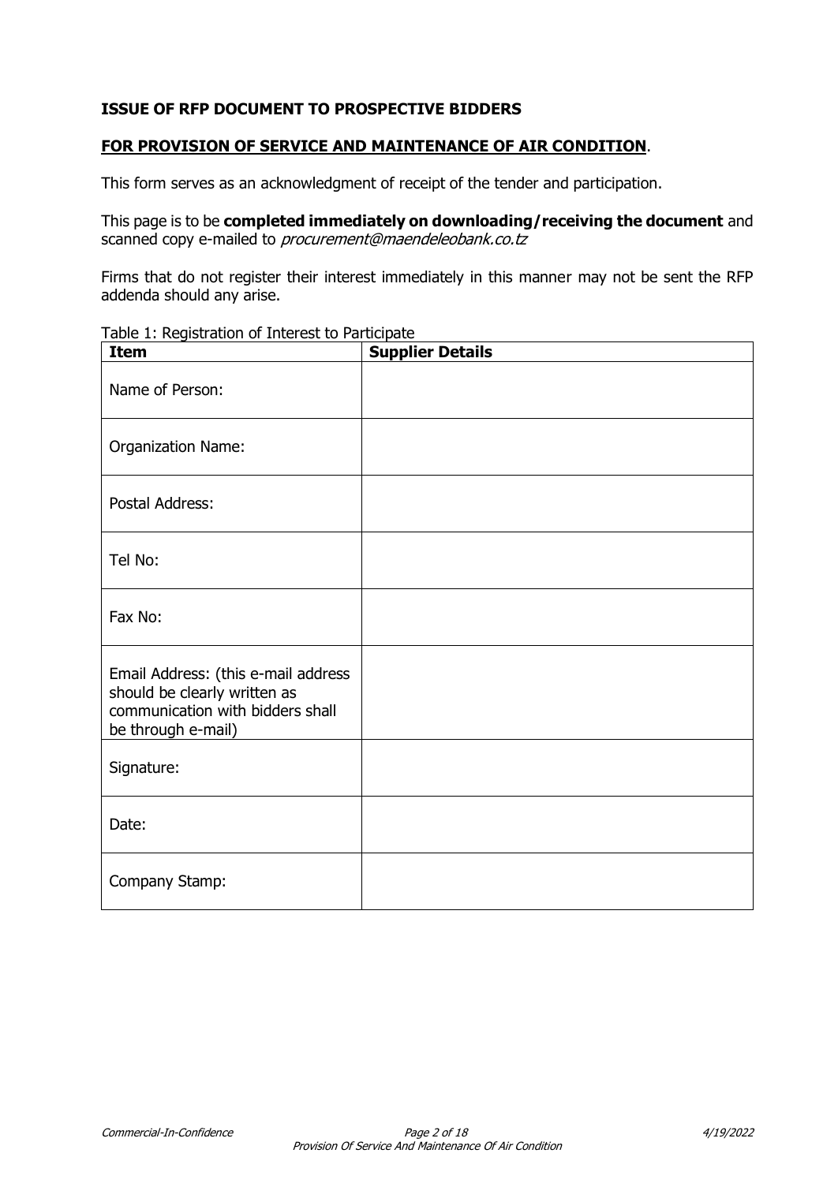### **ISSUE OF RFP DOCUMENT TO PROSPECTIVE BIDDERS**

#### **FOR PROVISION OF SERVICE AND MAINTENANCE OF AIR CONDITION**.

This form serves as an acknowledgment of receipt of the tender and participation.

This page is to be **completed immediately on downloading/receiving the document** and scanned copy e-mailed to *procurement@maendeleobank.co.tz* 

Firms that do not register their interest immediately in this manner may not be sent the RFP addenda should any arise.

|  | Table 1: Registration of Interest to Participate |  |  |  |
|--|--------------------------------------------------|--|--|--|
|--|--------------------------------------------------|--|--|--|

| <b>Item</b>                                                                                                                   | <b>Supplier Details</b> |
|-------------------------------------------------------------------------------------------------------------------------------|-------------------------|
| Name of Person:                                                                                                               |                         |
| Organization Name:                                                                                                            |                         |
| Postal Address:                                                                                                               |                         |
| Tel No:                                                                                                                       |                         |
| Fax No:                                                                                                                       |                         |
| Email Address: (this e-mail address<br>should be clearly written as<br>communication with bidders shall<br>be through e-mail) |                         |
| Signature:                                                                                                                    |                         |
| Date:                                                                                                                         |                         |
| Company Stamp:                                                                                                                |                         |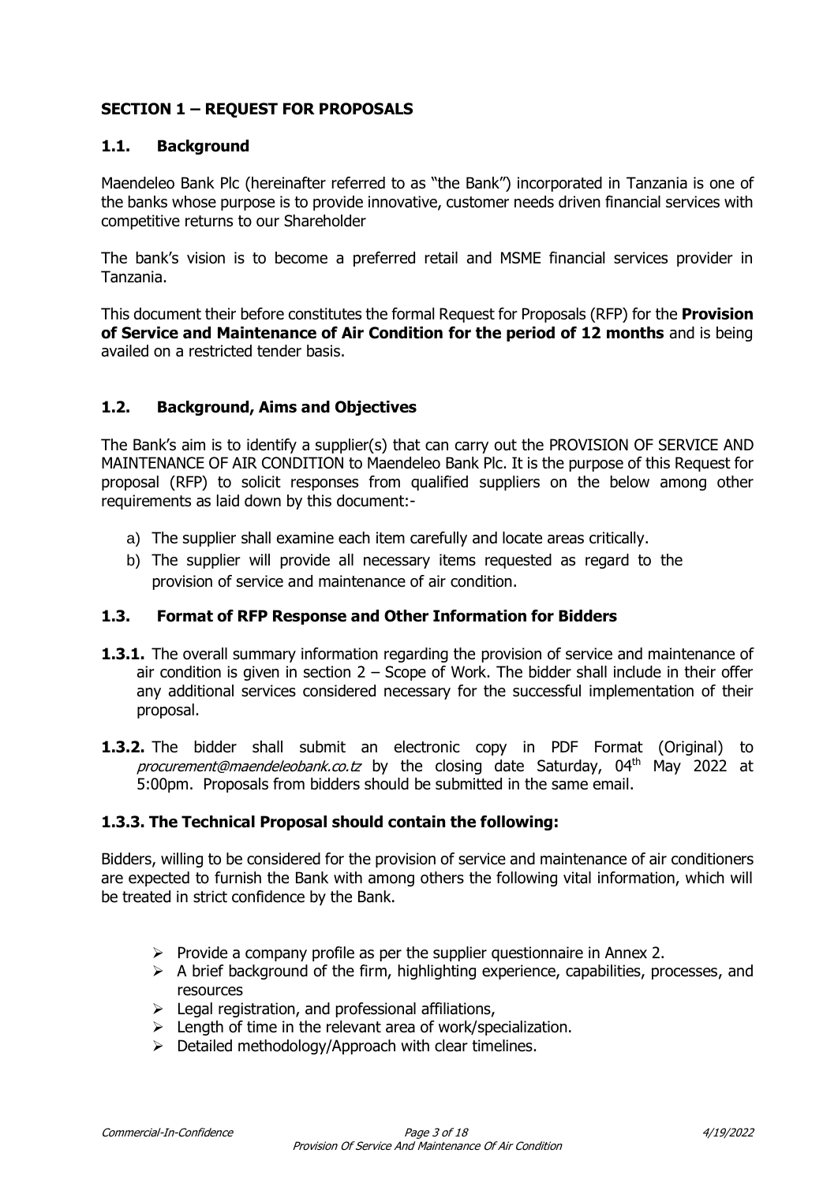# **SECTION 1 – REQUEST FOR PROPOSALS**

### **1.1. Background**

Maendeleo Bank Plc (hereinafter referred to as "the Bank") incorporated in Tanzania is one of the banks whose purpose is to provide innovative, customer needs driven financial services with competitive returns to our Shareholder

The bank's vision is to become a preferred retail and MSME financial services provider in Tanzania.

This document their before constitutes the formal Request for Proposals (RFP) for the **Provision of Service and Maintenance of Air Condition for the period of 12 months** and is being availed on a restricted tender basis.

## **1.2. Background, Aims and Objectives**

The Bank's aim is to identify a supplier(s) that can carry out the PROVISION OF SERVICE AND MAINTENANCE OF AIR CONDITION to Maendeleo Bank Plc. It is the purpose of this Request for proposal (RFP) to solicit responses from qualified suppliers on the below among other requirements as laid down by this document:-

- a) The supplier shall examine each item carefully and locate areas critically.
- b) The supplier will provide all necessary items requested as regard to the provision of service and maintenance of air condition.

#### **1.3. Format of RFP Response and Other Information for Bidders**

- **1.3.1.** The overall summary information regarding the provision of service and maintenance of air condition is given in section  $2 -$  Scope of Work. The bidder shall include in their offer any additional services considered necessary for the successful implementation of their proposal.
- **1.3.2.** The bidder shall submit an electronic copy in PDF Format (Original) to procurement@maendeleobank.co.tz by the closing date Saturday, 04<sup>th</sup> May 2022 at 5:00pm. Proposals from bidders should be submitted in the same email.

## **1.3.3. The Technical Proposal should contain the following:**

Bidders, willing to be considered for the provision of service and maintenance of air conditioners are expected to furnish the Bank with among others the following vital information, which will be treated in strict confidence by the Bank.

- $\triangleright$  Provide a company profile as per the supplier questionnaire in Annex 2.
- $\triangleright$  A brief background of the firm, highlighting experience, capabilities, processes, and resources
- $\triangleright$  Legal registration, and professional affiliations,
- $\triangleright$  Length of time in the relevant area of work/specialization.
- $\triangleright$  Detailed methodology/Approach with clear timelines.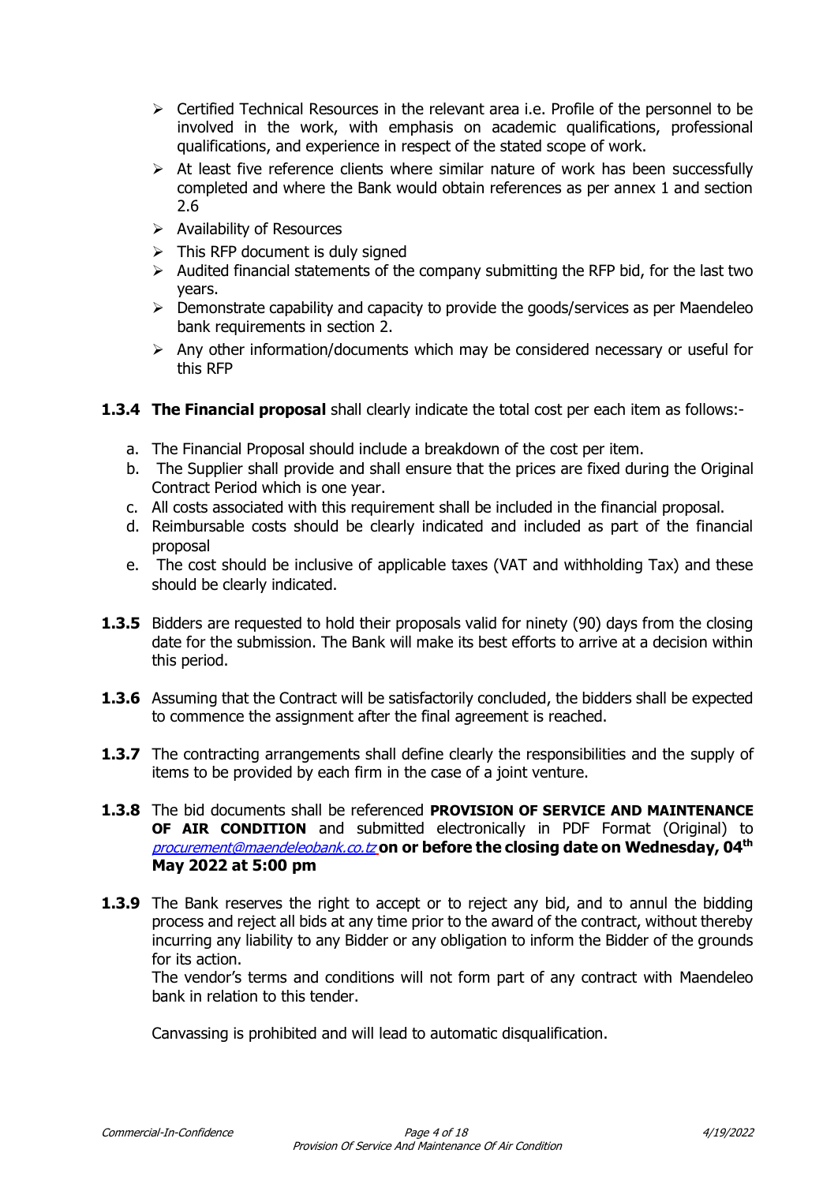- $\triangleright$  Certified Technical Resources in the relevant area i.e. Profile of the personnel to be involved in the work, with emphasis on academic qualifications, professional qualifications, and experience in respect of the stated scope of work.
- $\triangleright$  At least five reference clients where similar nature of work has been successfully completed and where the Bank would obtain references as per annex 1 and section 2.6
- $\triangleright$  Availability of Resources
- $\triangleright$  This RFP document is duly signed
- $\triangleright$  Audited financial statements of the company submitting the RFP bid, for the last two years.
- $\triangleright$  Demonstrate capability and capacity to provide the goods/services as per Maendeleo bank requirements in section 2.
- $\triangleright$  Any other information/documents which may be considered necessary or useful for this RFP
- **1.3.4 The Financial proposal** shall clearly indicate the total cost per each item as follows:
	- a. The Financial Proposal should include a breakdown of the cost per item.
	- b. The Supplier shall provide and shall ensure that the prices are fixed during the Original Contract Period which is one year.
	- c. All costs associated with this requirement shall be included in the financial proposal.
	- d. Reimbursable costs should be clearly indicated and included as part of the financial proposal
	- e. The cost should be inclusive of applicable taxes (VAT and withholding Tax) and these should be clearly indicated.
- **1.3.5** Bidders are requested to hold their proposals valid for ninety (90) days from the closing date for the submission. The Bank will make its best efforts to arrive at a decision within this period.
- **1.3.6** Assuming that the Contract will be satisfactorily concluded, the bidders shall be expected to commence the assignment after the final agreement is reached.
- **1.3.7** The contracting arrangements shall define clearly the responsibilities and the supply of items to be provided by each firm in the case of a joint venture.
- **1.3.8** The bid documents shall be referenced **PROVISION OF SERVICE AND MAINTENANCE OF AIR CONDITION** and submitted electronically in PDF Format (Original) to **[procurement@maendeleobank.co.tz](mailto:procurement@maendeleobank.co.tz)**\_on or before the closing date on Wednesday, 04<sup>th</sup> **May 2022 at 5:00 pm**
- **1.3.9** The Bank reserves the right to accept or to reject any bid, and to annul the bidding process and reject all bids at any time prior to the award of the contract, without thereby incurring any liability to any Bidder or any obligation to inform the Bidder of the grounds for its action.

The vendor's terms and conditions will not form part of any contract with Maendeleo bank in relation to this tender.

Canvassing is prohibited and will lead to automatic disqualification.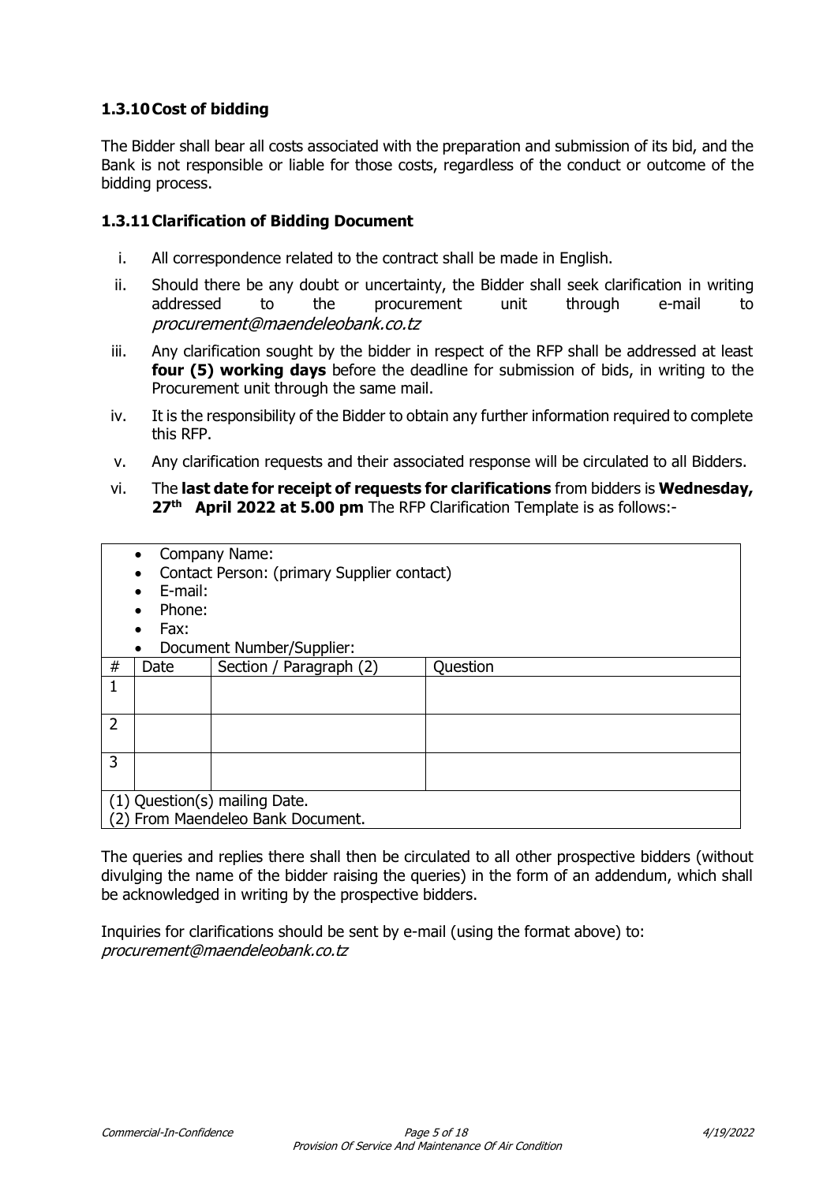# **1.3.10Cost of bidding**

The Bidder shall bear all costs associated with the preparation and submission of its bid, and the Bank is not responsible or liable for those costs, regardless of the conduct or outcome of the bidding process.

## **1.3.11Clarification of Bidding Document**

- i. All correspondence related to the contract shall be made in English.
- ii. Should there be any doubt or uncertainty, the Bidder shall seek clarification in writing addressed to the procurement unit through e-mail to procurement@maendeleobank.co.tz
- iii. Any clarification sought by the bidder in respect of the RFP shall be addressed at least **four (5) working days** before the deadline for submission of bids, in writing to the Procurement unit through the same mail.
- iv. It is the responsibility of the Bidder to obtain any further information required to complete this RFP.
- v. Any clarification requests and their associated response will be circulated to all Bidders.
- vi. The **last date for receipt of requests for clarifications** from bidders is **Wednesday, 27th April 2022 at 5.00 pm** The RFP Clarification Template is as follows:-

|                | Company Name:<br>$\bullet$        |                                            |          |  |
|----------------|-----------------------------------|--------------------------------------------|----------|--|
|                |                                   | Contact Person: (primary Supplier contact) |          |  |
|                | E-mail:                           |                                            |          |  |
|                | Phone:                            |                                            |          |  |
|                | Fax:                              |                                            |          |  |
|                |                                   | Document Number/Supplier:                  |          |  |
| #              | Date                              | Section / Paragraph (2)                    | Question |  |
| 1              |                                   |                                            |          |  |
|                |                                   |                                            |          |  |
| $\overline{2}$ |                                   |                                            |          |  |
|                |                                   |                                            |          |  |
| 3              |                                   |                                            |          |  |
|                |                                   |                                            |          |  |
|                | (1) Question(s) mailing Date.     |                                            |          |  |
|                | (2) From Maendeleo Bank Document. |                                            |          |  |

The queries and replies there shall then be circulated to all other prospective bidders (without divulging the name of the bidder raising the queries) in the form of an addendum, which shall be acknowledged in writing by the prospective bidders.

Inquiries for clarifications should be sent by e-mail (using the format above) to: procurement@maendeleobank.co.tz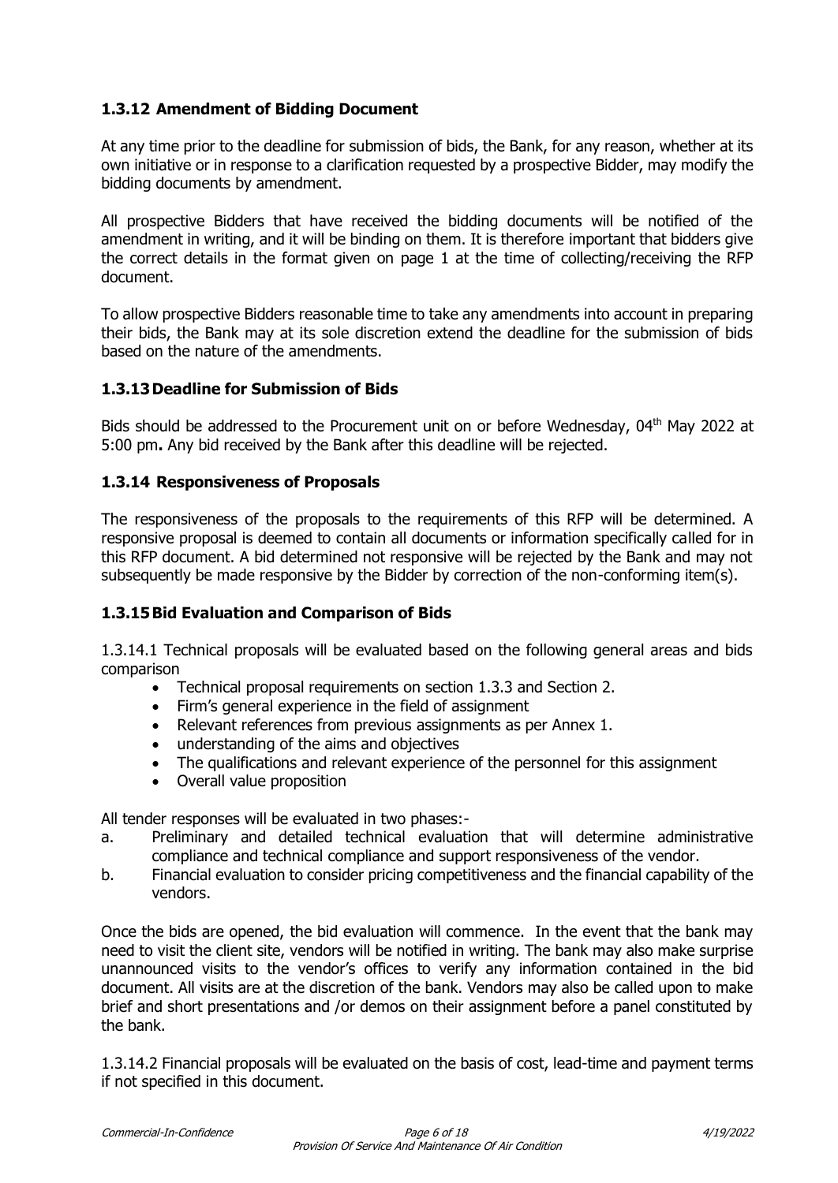# **1.3.12 Amendment of Bidding Document**

At any time prior to the deadline for submission of bids, the Bank, for any reason, whether at its own initiative or in response to a clarification requested by a prospective Bidder, may modify the bidding documents by amendment.

All prospective Bidders that have received the bidding documents will be notified of the amendment in writing, and it will be binding on them. It is therefore important that bidders give the correct details in the format given on page 1 at the time of collecting/receiving the RFP document.

To allow prospective Bidders reasonable time to take any amendments into account in preparing their bids, the Bank may at its sole discretion extend the deadline for the submission of bids based on the nature of the amendments.

## **1.3.13Deadline for Submission of Bids**

Bids should be addressed to the Procurement unit on or before Wednesday, 04<sup>th</sup> May 2022 at 5:00 pm**.** Any bid received by the Bank after this deadline will be rejected.

## **1.3.14 Responsiveness of Proposals**

The responsiveness of the proposals to the requirements of this RFP will be determined. A responsive proposal is deemed to contain all documents or information specifically called for in this RFP document. A bid determined not responsive will be rejected by the Bank and may not subsequently be made responsive by the Bidder by correction of the non-conforming item(s).

## **1.3.15Bid Evaluation and Comparison of Bids**

1.3.14.1 Technical proposals will be evaluated based on the following general areas and bids comparison

- Technical proposal requirements on section 1.3.3 and Section 2.
- Firm's general experience in the field of assignment
- Relevant references from previous assignments as per Annex 1.
- understanding of the aims and objectives
- The qualifications and relevant experience of the personnel for this assignment
- Overall value proposition

All tender responses will be evaluated in two phases:-

- a. Preliminary and detailed technical evaluation that will determine administrative compliance and technical compliance and support responsiveness of the vendor.
- b. Financial evaluation to consider pricing competitiveness and the financial capability of the vendors.

Once the bids are opened, the bid evaluation will commence. In the event that the bank may need to visit the client site, vendors will be notified in writing. The bank may also make surprise unannounced visits to the vendor's offices to verify any information contained in the bid document. All visits are at the discretion of the bank. Vendors may also be called upon to make brief and short presentations and /or demos on their assignment before a panel constituted by the bank.

1.3.14.2 Financial proposals will be evaluated on the basis of cost, lead-time and payment terms if not specified in this document.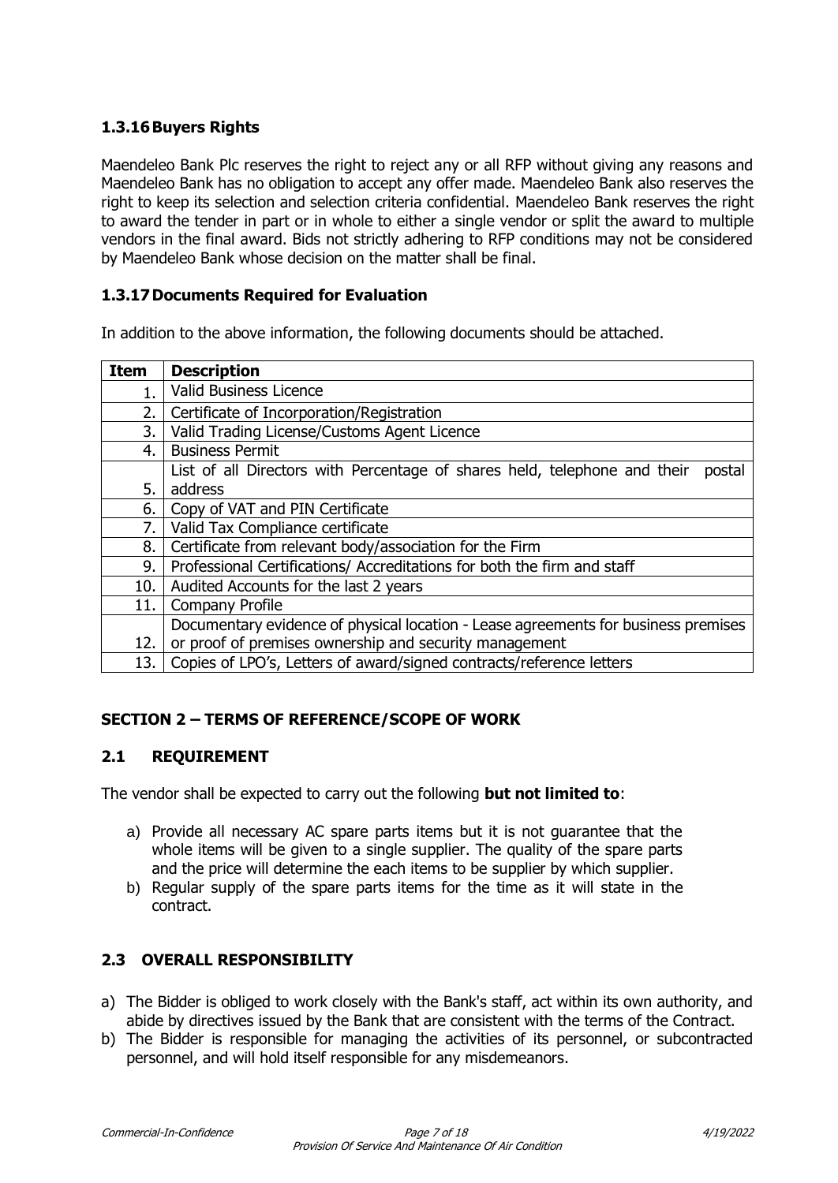# **1.3.16Buyers Rights**

Maendeleo Bank Plc reserves the right to reject any or all RFP without giving any reasons and Maendeleo Bank has no obligation to accept any offer made. Maendeleo Bank also reserves the right to keep its selection and selection criteria confidential. Maendeleo Bank reserves the right to award the tender in part or in whole to either a single vendor or split the award to multiple vendors in the final award. Bids not strictly adhering to RFP conditions may not be considered by Maendeleo Bank whose decision on the matter shall be final.

### **1.3.17Documents Required for Evaluation**

In addition to the above information, the following documents should be attached.

| <b>Item</b> | <b>Description</b>                                                                  |
|-------------|-------------------------------------------------------------------------------------|
| 1.          | Valid Business Licence                                                              |
| 2.          | Certificate of Incorporation/Registration                                           |
| 3.          | Valid Trading License/Customs Agent Licence                                         |
| 4.          | <b>Business Permit</b>                                                              |
|             | List of all Directors with Percentage of shares held, telephone and their<br>postal |
| 5.          | address                                                                             |
| 6.          | Copy of VAT and PIN Certificate                                                     |
| 7.          | Valid Tax Compliance certificate                                                    |
| 8.          | Certificate from relevant body/association for the Firm                             |
| 9.          | Professional Certifications/ Accreditations for both the firm and staff             |
| 10.         | Audited Accounts for the last 2 years                                               |
| 11.         | <b>Company Profile</b>                                                              |
|             | Documentary evidence of physical location - Lease agreements for business premises  |
| 12.         | or proof of premises ownership and security management                              |
| 13.         | Copies of LPO's, Letters of award/signed contracts/reference letters                |

## **SECTION 2 – TERMS OF REFERENCE/SCOPE OF WORK**

#### **2.1 REQUIREMENT**

The vendor shall be expected to carry out the following **but not limited to**:

- a) Provide all necessary AC spare parts items but it is not guarantee that the whole items will be given to a single supplier. The quality of the spare parts and the price will determine the each items to be supplier by which supplier.
- b) Regular supply of the spare parts items for the time as it will state in the contract.

## **2.3 OVERALL RESPONSIBILITY**

- a) The Bidder is obliged to work closely with the Bank's staff, act within its own authority, and abide by directives issued by the Bank that are consistent with the terms of the Contract.
- b) The Bidder is responsible for managing the activities of its personnel, or subcontracted personnel, and will hold itself responsible for any misdemeanors.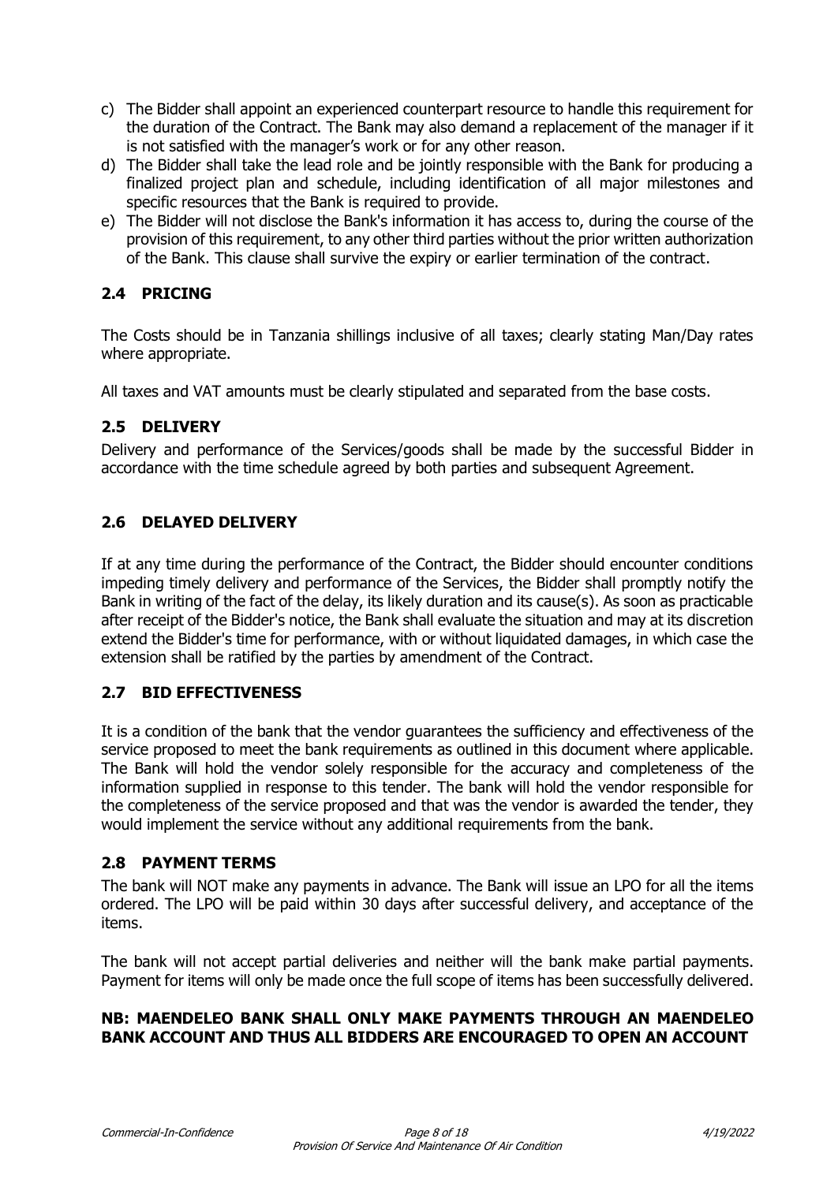- c) The Bidder shall appoint an experienced counterpart resource to handle this requirement for the duration of the Contract. The Bank may also demand a replacement of the manager if it is not satisfied with the manager's work or for any other reason.
- d) The Bidder shall take the lead role and be jointly responsible with the Bank for producing a finalized project plan and schedule, including identification of all major milestones and specific resources that the Bank is required to provide.
- e) The Bidder will not disclose the Bank's information it has access to, during the course of the provision of this requirement, to any other third parties without the prior written authorization of the Bank. This clause shall survive the expiry or earlier termination of the contract.

# **2.4 PRICING**

The Costs should be in Tanzania shillings inclusive of all taxes; clearly stating Man/Day rates where appropriate.

All taxes and VAT amounts must be clearly stipulated and separated from the base costs.

## **2.5 DELIVERY**

Delivery and performance of the Services/goods shall be made by the successful Bidder in accordance with the time schedule agreed by both parties and subsequent Agreement.

# **2.6 DELAYED DELIVERY**

If at any time during the performance of the Contract, the Bidder should encounter conditions impeding timely delivery and performance of the Services, the Bidder shall promptly notify the Bank in writing of the fact of the delay, its likely duration and its cause(s). As soon as practicable after receipt of the Bidder's notice, the Bank shall evaluate the situation and may at its discretion extend the Bidder's time for performance, with or without liquidated damages, in which case the extension shall be ratified by the parties by amendment of the Contract.

## **2.7 BID EFFECTIVENESS**

It is a condition of the bank that the vendor guarantees the sufficiency and effectiveness of the service proposed to meet the bank requirements as outlined in this document where applicable. The Bank will hold the vendor solely responsible for the accuracy and completeness of the information supplied in response to this tender. The bank will hold the vendor responsible for the completeness of the service proposed and that was the vendor is awarded the tender, they would implement the service without any additional requirements from the bank.

#### **2.8 PAYMENT TERMS**

The bank will NOT make any payments in advance. The Bank will issue an LPO for all the items ordered. The LPO will be paid within 30 days after successful delivery, and acceptance of the items.

The bank will not accept partial deliveries and neither will the bank make partial payments. Payment for items will only be made once the full scope of items has been successfully delivered.

## **NB: MAENDELEO BANK SHALL ONLY MAKE PAYMENTS THROUGH AN MAENDELEO BANK ACCOUNT AND THUS ALL BIDDERS ARE ENCOURAGED TO OPEN AN ACCOUNT**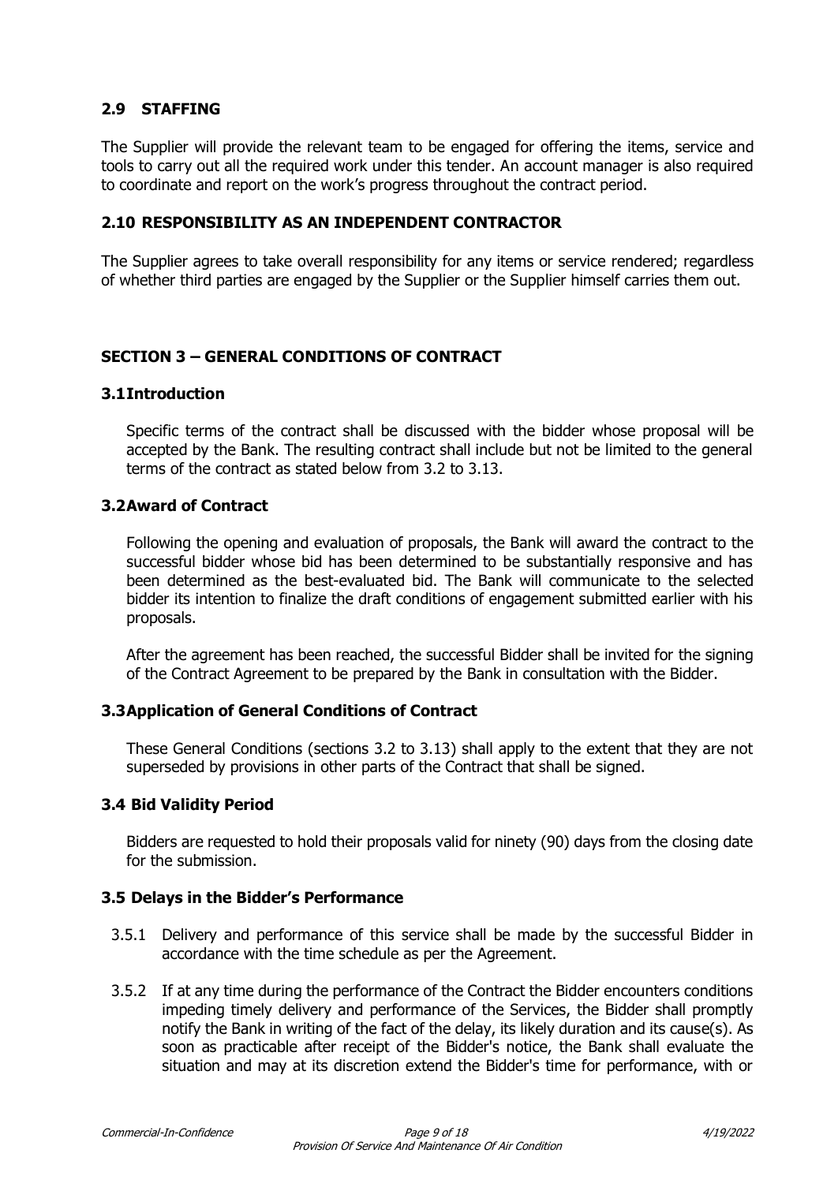# **2.9 STAFFING**

The Supplier will provide the relevant team to be engaged for offering the items, service and tools to carry out all the required work under this tender. An account manager is also required to coordinate and report on the work's progress throughout the contract period.

### **2.10 RESPONSIBILITY AS AN INDEPENDENT CONTRACTOR**

The Supplier agrees to take overall responsibility for any items or service rendered; regardless of whether third parties are engaged by the Supplier or the Supplier himself carries them out.

## **SECTION 3 – GENERAL CONDITIONS OF CONTRACT**

#### **3.1Introduction**

Specific terms of the contract shall be discussed with the bidder whose proposal will be accepted by the Bank. The resulting contract shall include but not be limited to the general terms of the contract as stated below from 3.2 to 3.13.

#### **3.2Award of Contract**

Following the opening and evaluation of proposals, the Bank will award the contract to the successful bidder whose bid has been determined to be substantially responsive and has been determined as the best-evaluated bid. The Bank will communicate to the selected bidder its intention to finalize the draft conditions of engagement submitted earlier with his proposals.

After the agreement has been reached, the successful Bidder shall be invited for the signing of the Contract Agreement to be prepared by the Bank in consultation with the Bidder.

#### **3.3Application of General Conditions of Contract**

These General Conditions (sections 3.2 to 3.13) shall apply to the extent that they are not superseded by provisions in other parts of the Contract that shall be signed.

#### **3.4 Bid Validity Period**

Bidders are requested to hold their proposals valid for ninety (90) days from the closing date for the submission.

#### **3.5 Delays in the Bidder's Performance**

- 3.5.1 Delivery and performance of this service shall be made by the successful Bidder in accordance with the time schedule as per the Agreement.
- 3.5.2 If at any time during the performance of the Contract the Bidder encounters conditions impeding timely delivery and performance of the Services, the Bidder shall promptly notify the Bank in writing of the fact of the delay, its likely duration and its cause(s). As soon as practicable after receipt of the Bidder's notice, the Bank shall evaluate the situation and may at its discretion extend the Bidder's time for performance, with or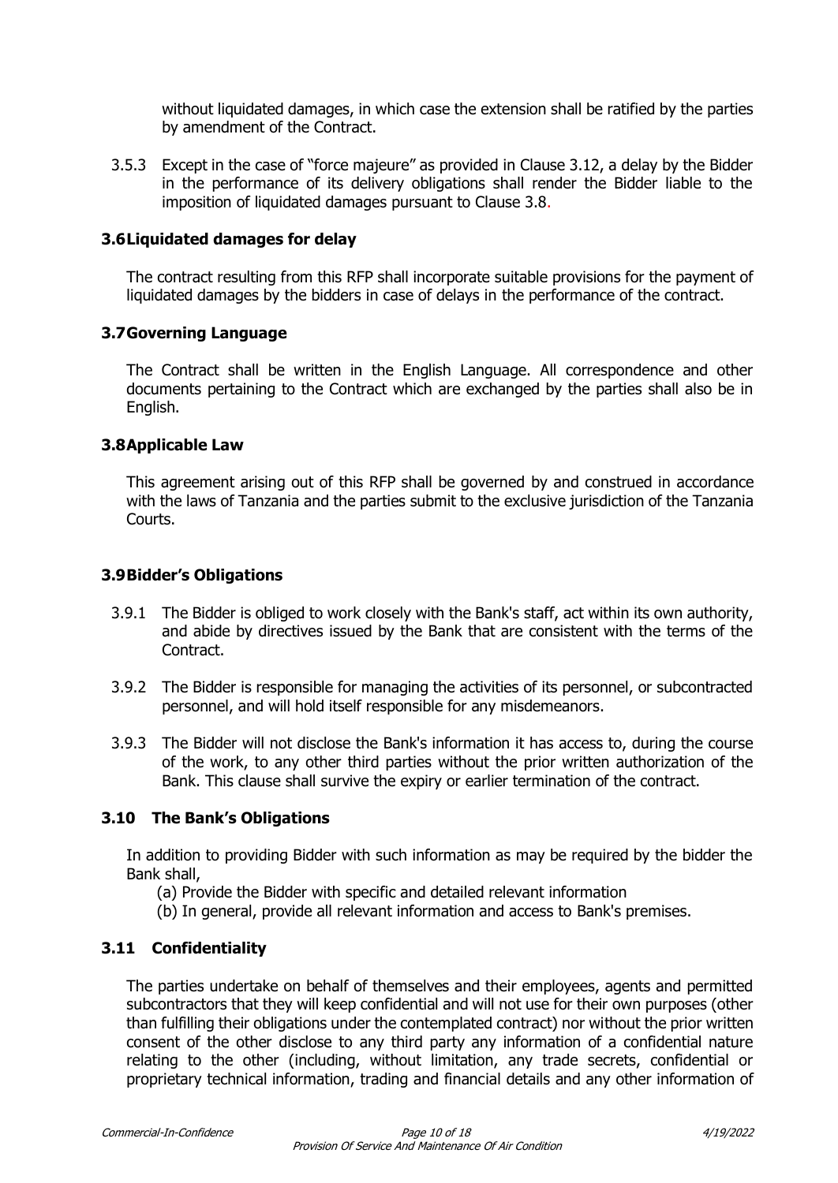without liquidated damages, in which case the extension shall be ratified by the parties by amendment of the Contract.

3.5.3 Except in the case of "force majeure" as provided in Clause 3.12, a delay by the Bidder in the performance of its delivery obligations shall render the Bidder liable to the imposition of liquidated damages pursuant to Clause 3.8.

## **3.6Liquidated damages for delay**

The contract resulting from this RFP shall incorporate suitable provisions for the payment of liquidated damages by the bidders in case of delays in the performance of the contract.

## **3.7Governing Language**

The Contract shall be written in the English Language. All correspondence and other documents pertaining to the Contract which are exchanged by the parties shall also be in English.

## **3.8Applicable Law**

This agreement arising out of this RFP shall be governed by and construed in accordance with the laws of Tanzania and the parties submit to the exclusive jurisdiction of the Tanzania Courts.

## **3.9Bidder's Obligations**

- 3.9.1 The Bidder is obliged to work closely with the Bank's staff, act within its own authority, and abide by directives issued by the Bank that are consistent with the terms of the Contract.
- 3.9.2 The Bidder is responsible for managing the activities of its personnel, or subcontracted personnel, and will hold itself responsible for any misdemeanors.
- 3.9.3 The Bidder will not disclose the Bank's information it has access to, during the course of the work, to any other third parties without the prior written authorization of the Bank. This clause shall survive the expiry or earlier termination of the contract.

## **3.10 The Bank's Obligations**

In addition to providing Bidder with such information as may be required by the bidder the Bank shall,

- (a) Provide the Bidder with specific and detailed relevant information
- (b) In general, provide all relevant information and access to Bank's premises.

## **3.11 Confidentiality**

The parties undertake on behalf of themselves and their employees, agents and permitted subcontractors that they will keep confidential and will not use for their own purposes (other than fulfilling their obligations under the contemplated contract) nor without the prior written consent of the other disclose to any third party any information of a confidential nature relating to the other (including, without limitation, any trade secrets, confidential or proprietary technical information, trading and financial details and any other information of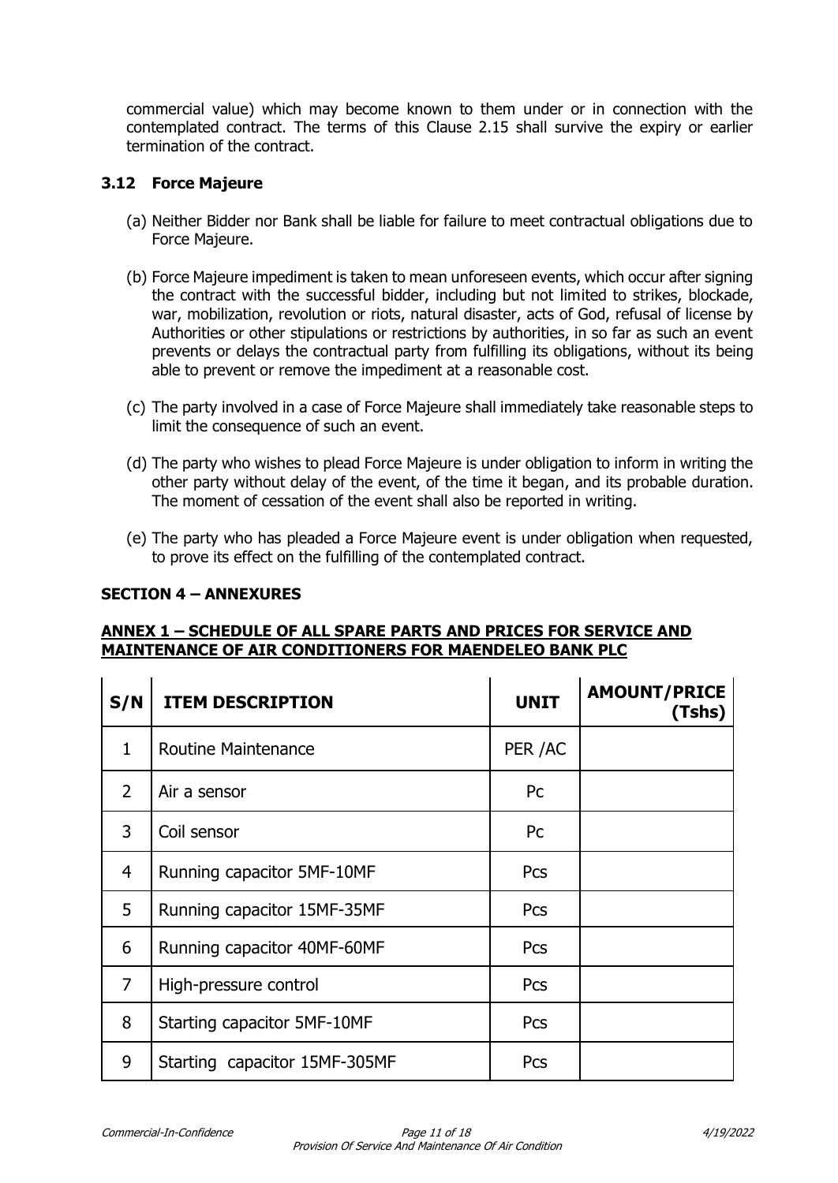commercial value) which may become known to them under or in connection with the contemplated contract. The terms of this Clause 2.15 shall survive the expiry or earlier termination of the contract.

## **3.12 Force Majeure**

- (a) Neither Bidder nor Bank shall be liable for failure to meet contractual obligations due to Force Majeure.
- (b) Force Majeure impediment is taken to mean unforeseen events, which occur after signing the contract with the successful bidder, including but not limited to strikes, blockade, war, mobilization, revolution or riots, natural disaster, acts of God, refusal of license by Authorities or other stipulations or restrictions by authorities, in so far as such an event prevents or delays the contractual party from fulfilling its obligations, without its being able to prevent or remove the impediment at a reasonable cost.
- (c) The party involved in a case of Force Majeure shall immediately take reasonable steps to limit the consequence of such an event.
- (d) The party who wishes to plead Force Majeure is under obligation to inform in writing the other party without delay of the event, of the time it began, and its probable duration. The moment of cessation of the event shall also be reported in writing.
- (e) The party who has pleaded a Force Majeure event is under obligation when requested, to prove its effect on the fulfilling of the contemplated contract.

#### **SECTION 4 – ANNEXURES**

#### **ANNEX 1 – SCHEDULE OF ALL SPARE PARTS AND PRICES FOR SERVICE AND MAINTENANCE OF AIR CONDITIONERS FOR MAENDELEO BANK PLC**

| S/N            | <b>ITEM DESCRIPTION</b>       | <b>UNIT</b> | <b>AMOUNT/PRICE</b><br>(Tshs) |
|----------------|-------------------------------|-------------|-------------------------------|
| $\mathbf{1}$   | <b>Routine Maintenance</b>    | PER /AC     |                               |
| $\overline{2}$ | Air a sensor                  | <b>Pc</b>   |                               |
| 3              | Coil sensor                   | Pc          |                               |
| $\overline{4}$ | Running capacitor 5MF-10MF    | Pcs         |                               |
| 5              | Running capacitor 15MF-35MF   | Pcs         |                               |
| 6              | Running capacitor 40MF-60MF   | Pcs         |                               |
| $\overline{7}$ | High-pressure control         | Pcs         |                               |
| 8              | Starting capacitor 5MF-10MF   | Pcs         |                               |
| 9              | Starting capacitor 15MF-305MF | Pcs         |                               |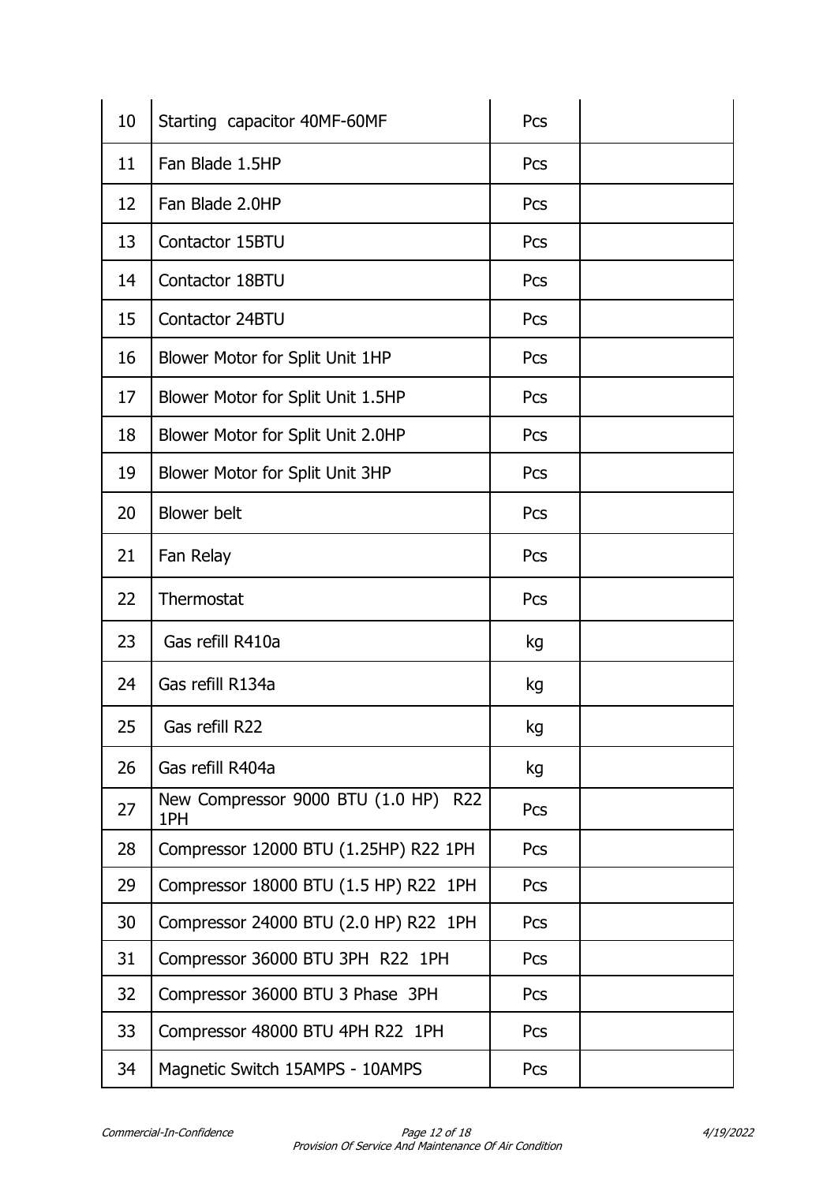| 10 | Starting capacitor 40MF-60MF                | Pcs |  |
|----|---------------------------------------------|-----|--|
| 11 | Fan Blade 1.5HP                             | Pcs |  |
| 12 | Fan Blade 2.0HP                             | Pcs |  |
| 13 | Contactor 15BTU                             | Pcs |  |
| 14 | Contactor 18BTU                             | Pcs |  |
| 15 | Contactor 24BTU                             | Pcs |  |
| 16 | Blower Motor for Split Unit 1HP             | Pcs |  |
| 17 | Blower Motor for Split Unit 1.5HP           | Pcs |  |
| 18 | Blower Motor for Split Unit 2.0HP           | Pcs |  |
| 19 | Blower Motor for Split Unit 3HP             | Pcs |  |
| 20 | <b>Blower</b> belt                          | Pcs |  |
| 21 | Fan Relay                                   | Pcs |  |
| 22 | Thermostat                                  | Pcs |  |
| 23 | Gas refill R410a                            | kg  |  |
| 24 | Gas refill R134a                            | kg  |  |
| 25 | Gas refill R22                              | kg  |  |
| 26 | Gas refill R404a                            | kg  |  |
| 27 | New Compressor 9000 BTU (1.0 HP) R22<br>1PH | Pcs |  |
| 28 | Compressor 12000 BTU (1.25HP) R22 1PH       | Pcs |  |
| 29 | Compressor 18000 BTU (1.5 HP) R22 1PH       | Pcs |  |
| 30 | Compressor 24000 BTU (2.0 HP) R22 1PH       | Pcs |  |
| 31 | Compressor 36000 BTU 3PH R22 1PH            | Pcs |  |
| 32 | Compressor 36000 BTU 3 Phase 3PH            | Pcs |  |
| 33 | Compressor 48000 BTU 4PH R22 1PH            | Pcs |  |
| 34 | Magnetic Switch 15AMPS - 10AMPS             | Pcs |  |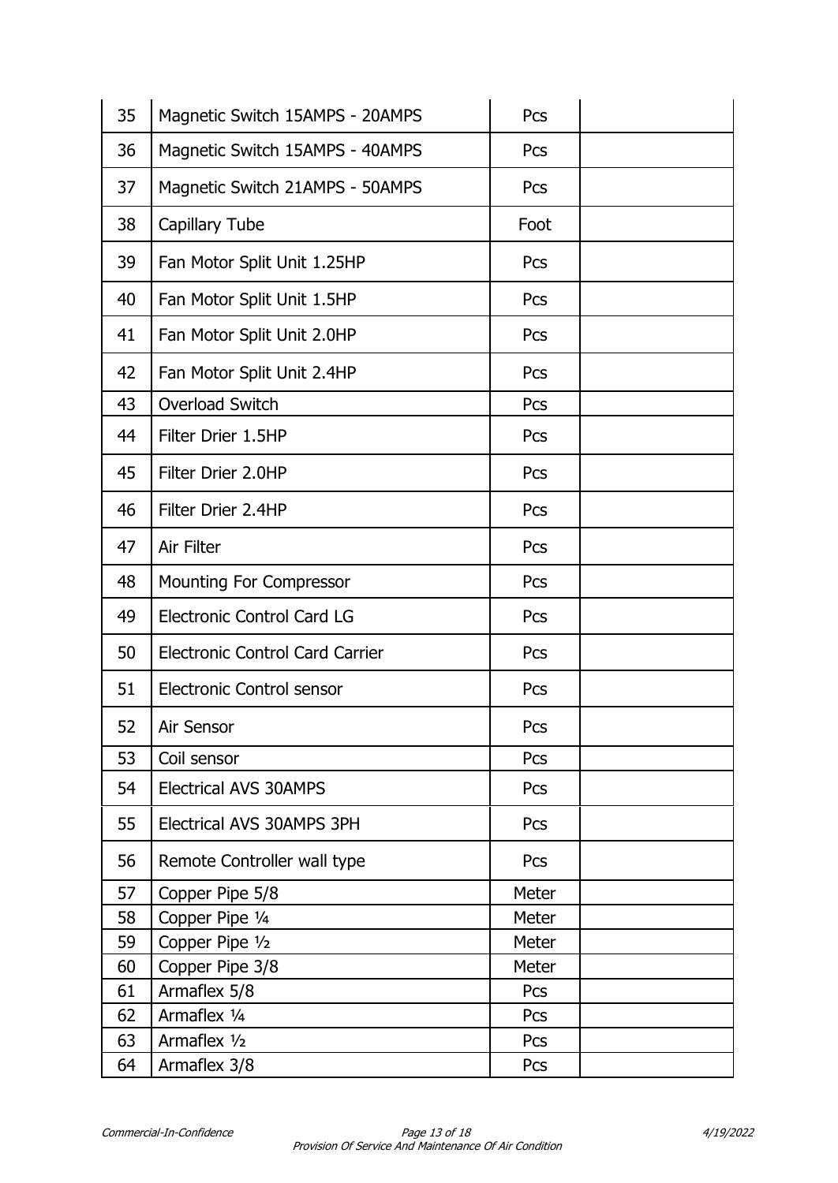| 35 | Magnetic Switch 15AMPS - 20AMPS        | Pcs   |  |
|----|----------------------------------------|-------|--|
| 36 | Magnetic Switch 15AMPS - 40AMPS        | Pcs   |  |
| 37 | Magnetic Switch 21AMPS - 50AMPS        | Pcs   |  |
| 38 | <b>Capillary Tube</b>                  | Foot  |  |
| 39 | Fan Motor Split Unit 1.25HP            | Pcs   |  |
| 40 | Fan Motor Split Unit 1.5HP             | Pcs   |  |
| 41 | Fan Motor Split Unit 2.0HP             | Pcs   |  |
| 42 | Fan Motor Split Unit 2.4HP             | Pcs   |  |
| 43 | Overload Switch                        | Pcs   |  |
| 44 | Filter Drier 1.5HP                     | Pcs   |  |
| 45 | Filter Drier 2.0HP                     | Pcs   |  |
| 46 | Filter Drier 2.4HP                     | Pcs   |  |
| 47 | Air Filter                             | Pcs   |  |
| 48 | Mounting For Compressor                | Pcs   |  |
| 49 | <b>Electronic Control Card LG</b>      | Pcs   |  |
| 50 | <b>Electronic Control Card Carrier</b> | Pcs   |  |
| 51 | <b>Electronic Control sensor</b>       | Pcs   |  |
| 52 | Air Sensor                             | Pcs   |  |
| 53 | Coil sensor                            | Pcs   |  |
| 54 | <b>Electrical AVS 30AMPS</b>           | Pcs   |  |
| 55 | Electrical AVS 30AMPS 3PH              | Pcs   |  |
| 56 | Remote Controller wall type            | Pcs   |  |
| 57 | Copper Pipe 5/8                        | Meter |  |
| 58 | Copper Pipe 1/4                        | Meter |  |
| 59 | Copper Pipe 1/2                        | Meter |  |
| 60 | Copper Pipe 3/8                        | Meter |  |
| 61 | Armaflex 5/8                           | Pcs   |  |
| 62 | Armaflex 1/4                           | Pcs   |  |
| 63 | Armaflex 1/2                           | Pcs   |  |
| 64 | Armaflex 3/8                           | Pcs   |  |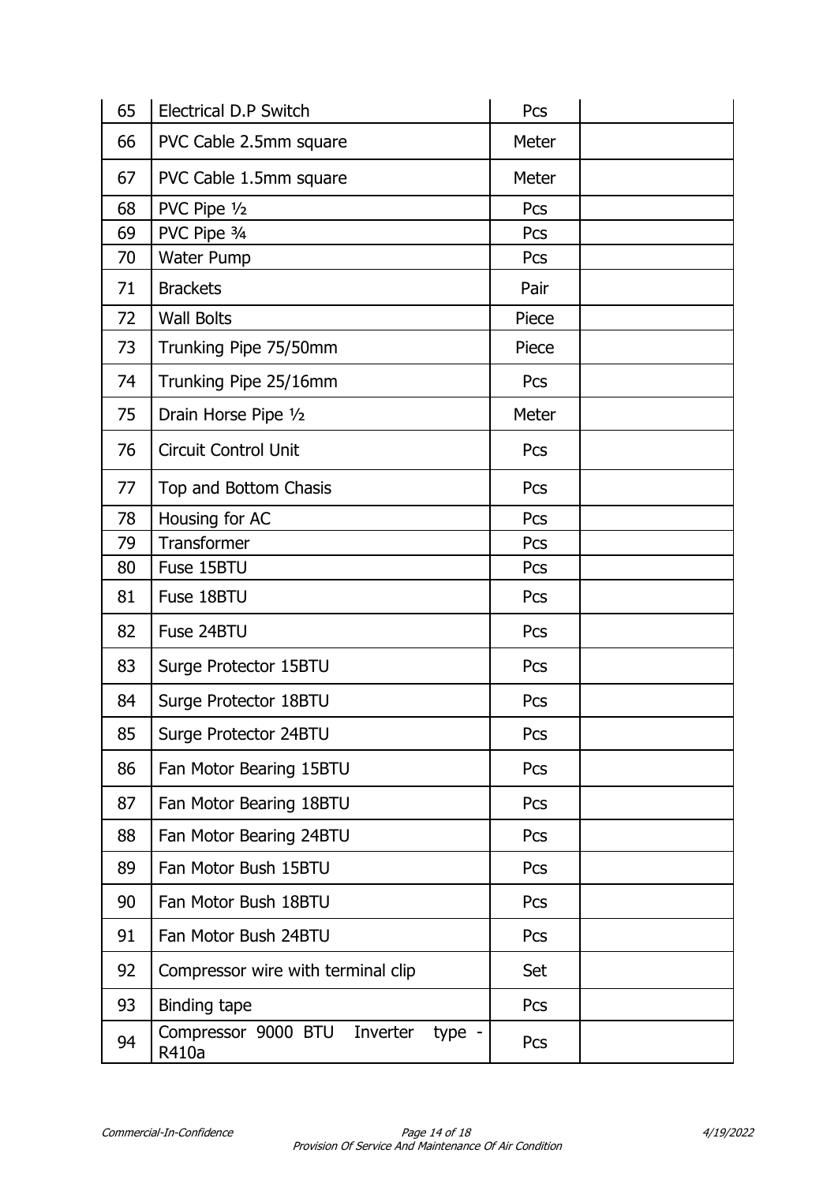| 65 | <b>Electrical D.P Switch</b>                       | Pcs   |  |
|----|----------------------------------------------------|-------|--|
| 66 | PVC Cable 2.5mm square                             | Meter |  |
| 67 | PVC Cable 1.5mm square                             | Meter |  |
| 68 | PVC Pipe 1/2                                       | Pcs   |  |
| 69 | PVC Pipe 3/4                                       | Pcs   |  |
| 70 | <b>Water Pump</b>                                  | Pcs   |  |
| 71 | <b>Brackets</b>                                    | Pair  |  |
| 72 | <b>Wall Bolts</b>                                  | Piece |  |
| 73 | Trunking Pipe 75/50mm                              | Piece |  |
| 74 | Trunking Pipe 25/16mm                              | Pcs   |  |
| 75 | Drain Horse Pipe 1/2                               | Meter |  |
| 76 | <b>Circuit Control Unit</b>                        | Pcs   |  |
| 77 | Top and Bottom Chasis                              | Pcs   |  |
| 78 | Housing for AC                                     | Pcs   |  |
| 79 | Transformer                                        | Pcs   |  |
| 80 | Fuse 15BTU                                         | Pcs   |  |
| 81 | Fuse 18BTU                                         | Pcs   |  |
| 82 | Fuse 24BTU                                         | Pcs   |  |
| 83 | Surge Protector 15BTU                              | Pcs   |  |
| 84 | Surge Protector 18BTU                              | Pcs   |  |
| 85 | Surge Protector 24BTU                              | Pcs   |  |
| 86 | Fan Motor Bearing 15BTU                            | Pcs   |  |
| 87 | Fan Motor Bearing 18BTU                            | Pcs   |  |
| 88 | Fan Motor Bearing 24BTU                            | Pcs   |  |
| 89 | Fan Motor Bush 15BTU                               | Pcs   |  |
| 90 | Fan Motor Bush 18BTU                               | Pcs   |  |
| 91 | Fan Motor Bush 24BTU                               | Pcs   |  |
| 92 | Compressor wire with terminal clip                 | Set   |  |
| 93 | Binding tape                                       | Pcs   |  |
| 94 | Compressor 9000 BTU<br>Inverter<br>type -<br>R410a | Pcs   |  |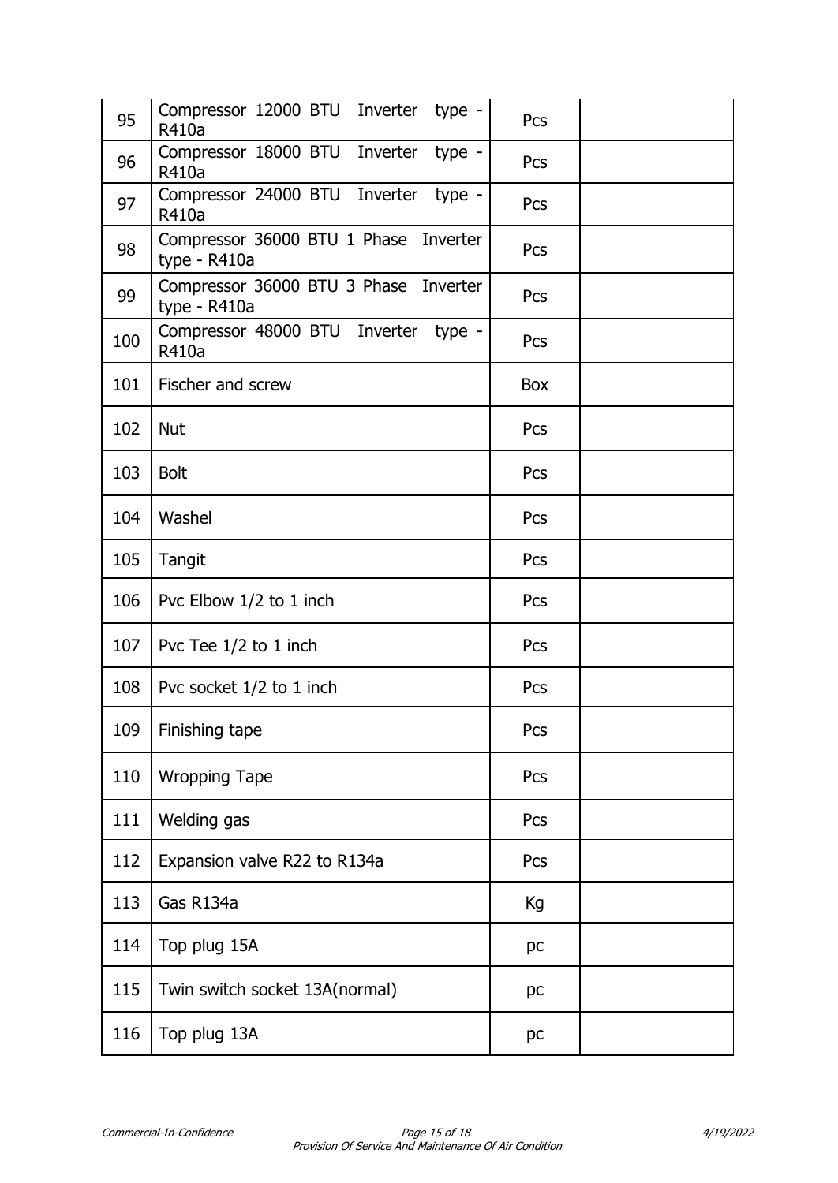| 95  | Compressor 12000 BTU Inverter<br>type -<br>R410a      | Pcs |
|-----|-------------------------------------------------------|-----|
| 96  | Compressor 18000 BTU Inverter type -<br>R410a         | Pcs |
| 97  | Compressor 24000 BTU Inverter<br>type -<br>R410a      | Pcs |
| 98  | Compressor 36000 BTU 1 Phase Inverter<br>type - R410a | Pcs |
| 99  | Compressor 36000 BTU 3 Phase Inverter<br>type - R410a | Pcs |
| 100 | Compressor 48000 BTU Inverter type -<br>R410a         | Pcs |
| 101 | Fischer and screw                                     | Box |
| 102 | <b>Nut</b>                                            | Pcs |
| 103 | <b>Bolt</b>                                           | Pcs |
| 104 | Washel                                                | Pcs |
| 105 | Tangit                                                | Pcs |
| 106 | Pvc Elbow 1/2 to 1 inch                               | Pcs |
| 107 | Pvc Tee 1/2 to 1 inch                                 | Pcs |
| 108 | Pvc socket 1/2 to 1 inch                              | Pcs |
|     | 109   Finishing tape                                  | Pcs |
| 110 | <b>Wropping Tape</b>                                  | Pcs |
| 111 | Welding gas                                           | Pcs |
| 112 | Expansion valve R22 to R134a                          | Pcs |
| 113 | Gas R134a                                             | Кg  |
| 114 | Top plug 15A                                          | pc  |
| 115 | Twin switch socket 13A(normal)                        | pc  |
| 116 | Top plug 13A                                          | pc  |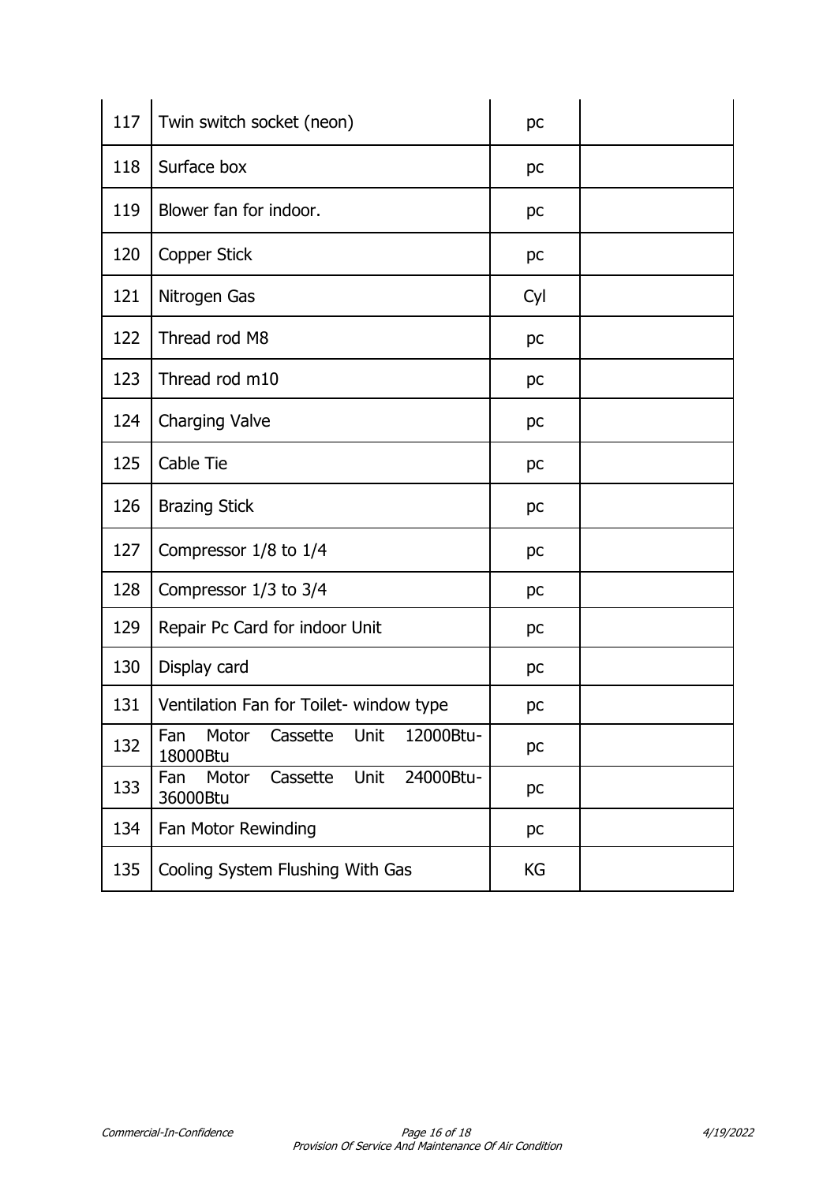| 117 | Twin switch socket (neon)                                 | pc  |  |
|-----|-----------------------------------------------------------|-----|--|
| 118 | Surface box                                               | pc  |  |
| 119 | Blower fan for indoor.                                    | pc  |  |
| 120 | Copper Stick                                              | pc  |  |
| 121 | Nitrogen Gas                                              | Cyl |  |
| 122 | Thread rod M8                                             | pc  |  |
| 123 | Thread rod m10                                            | pc  |  |
| 124 | <b>Charging Valve</b>                                     | pc  |  |
| 125 | Cable Tie                                                 | pc  |  |
| 126 | <b>Brazing Stick</b>                                      | pc  |  |
| 127 | Compressor 1/8 to 1/4                                     | pc  |  |
| 128 | Compressor 1/3 to 3/4                                     | pc  |  |
| 129 | Repair Pc Card for indoor Unit                            | pc  |  |
| 130 | Display card                                              | pc  |  |
| 131 | Ventilation Fan for Toilet- window type                   | pc  |  |
| 132 | Fan<br>Motor<br>Cassette<br>Unit<br>12000Btu-<br>18000Btu | pc  |  |
| 133 | Unit<br>Motor<br>Cassette<br>24000Btu-<br>Fan<br>36000Btu | pc  |  |
| 134 | Fan Motor Rewinding                                       | pc  |  |
| 135 | Cooling System Flushing With Gas                          | KG  |  |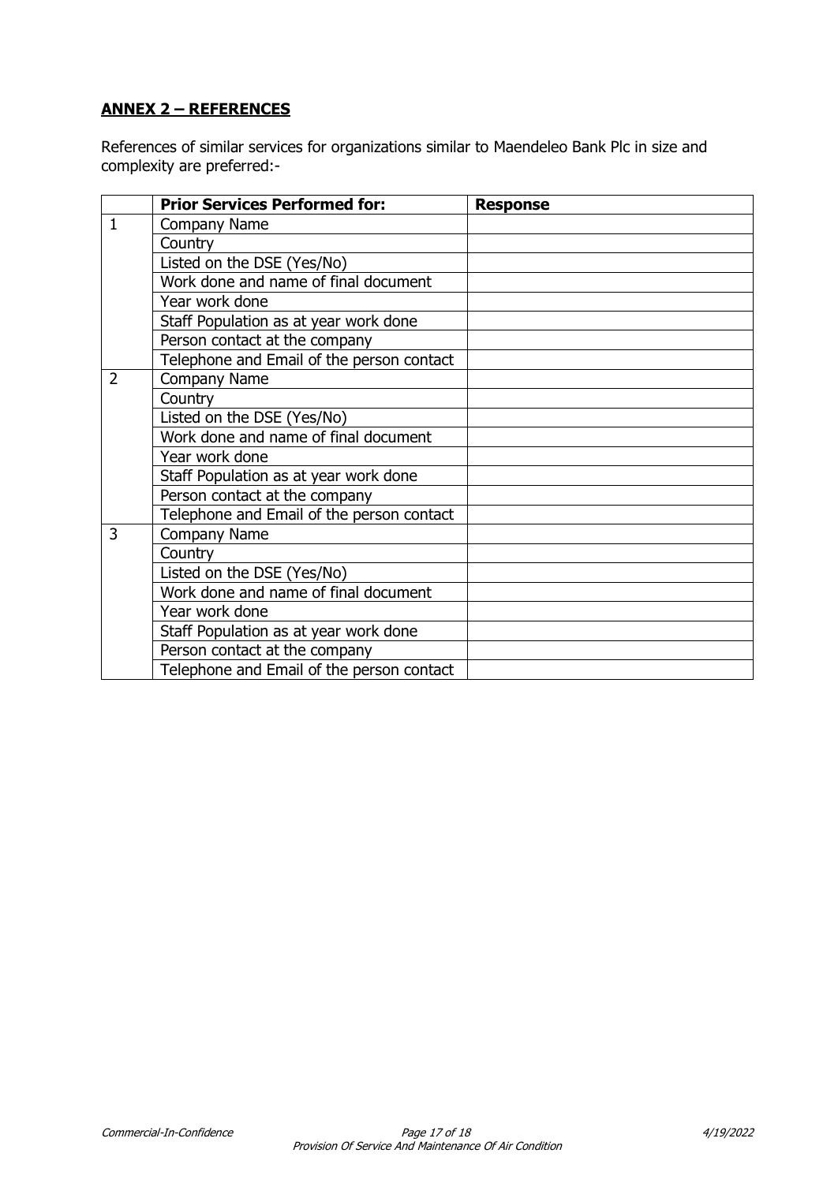# **ANNEX 2 – REFERENCES**

References of similar services for organizations similar to Maendeleo Bank Plc in size and complexity are preferred:-

|                | <b>Prior Services Performed for:</b>      | <b>Response</b> |
|----------------|-------------------------------------------|-----------------|
| $\mathbf{1}$   | Company Name                              |                 |
|                | Country                                   |                 |
|                | Listed on the DSE (Yes/No)                |                 |
|                | Work done and name of final document      |                 |
|                | Year work done                            |                 |
|                | Staff Population as at year work done     |                 |
|                | Person contact at the company             |                 |
|                | Telephone and Email of the person contact |                 |
| $\overline{2}$ | Company Name                              |                 |
|                | Country                                   |                 |
|                | Listed on the DSE (Yes/No)                |                 |
|                | Work done and name of final document      |                 |
|                | Year work done                            |                 |
|                | Staff Population as at year work done     |                 |
|                | Person contact at the company             |                 |
|                | Telephone and Email of the person contact |                 |
| 3              | Company Name                              |                 |
|                | Country                                   |                 |
|                | Listed on the DSE (Yes/No)                |                 |
|                | Work done and name of final document      |                 |
|                | Year work done                            |                 |
|                | Staff Population as at year work done     |                 |
|                | Person contact at the company             |                 |
|                | Telephone and Email of the person contact |                 |